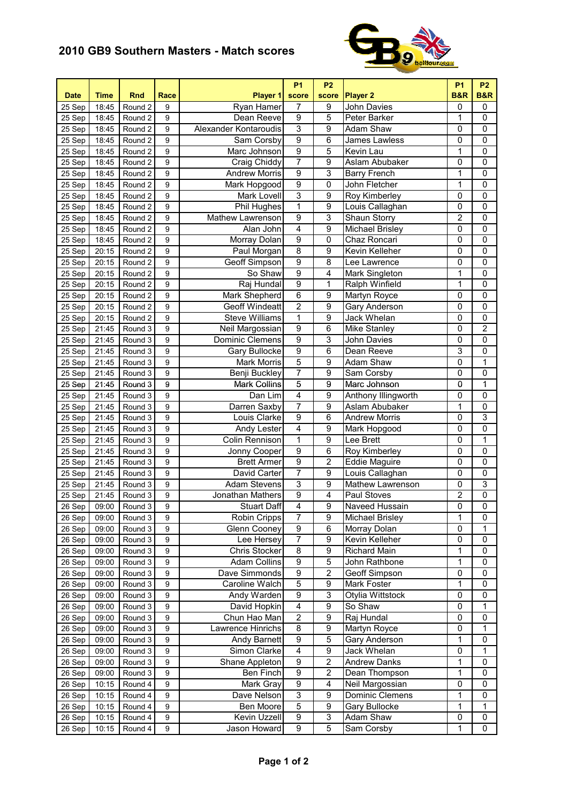## **2010 GB9 Southern Masters - Match scores**



| 7<br>9<br>$\pmb{0}$<br>Round 2<br>$\boldsymbol{9}$<br>Ryan Hamer<br>John Davies<br>0<br>25 Sep<br>18:45<br>$\overline{9}$<br>Dean Reeve<br>5<br>1<br>9<br>Peter Barker<br>0<br>25 Sep<br>18:45<br>Round 2<br>$\overline{3}$<br>9<br>9<br>Alexander Kontaroudis<br>Adam Shaw<br>0<br>0<br>25 Sep<br>18:45<br>Round 2<br>$\overline{9}$<br>9<br>6<br>$\overline{0}$<br>0<br>18:45<br>Sam Corsby<br>James Lawless<br>25 Sep<br>Round 2<br>$\overline{9}$<br>5<br>1<br>9<br>Marc Johnson<br>$\mathbf 0$<br>25 Sep<br>18:45<br>Round 2<br>Kevin Lau<br>7<br>9<br>9<br>0<br>$\overline{0}$<br>$25$ Sep<br>Round <sub>2</sub><br>Craig Chiddy<br>Aslam Abubaker<br>18:45<br>$\overline{9}$<br>9<br>3<br>1<br>$\overline{0}$<br><b>Andrew Morris</b><br><b>Barry French</b><br>25 Sep<br>18:45<br>Round 2<br>$\overline{9}$<br>1<br>9<br>0<br>John Fletcher<br>$\mathbf 0$<br>25 Sep<br>18:45<br>Round 2<br>Mark Hopgood<br>$\overline{3}$<br>$\overline{9}$<br>9<br>$\mathsf 0$<br>$\overline{0}$<br>Mark Lovell<br>Roy Kimberley<br>25 Sep<br>18:45<br>Round 2<br>1<br>$\overline{9}$<br>$\overline{0}$<br>$\overline{0}$<br>$\boldsymbol{9}$<br>25 Sep<br>Phil Hughes<br>Louis Callaghan<br>18:45<br>Round 2<br>$\overline{9}$<br>3<br>$\overline{2}$<br>9<br>$\mathbf 0$<br>25 Sep<br>Round 2<br>Mathew Lawrenson<br>Shaun Storry<br>18:45<br>$\overline{4}$<br>9<br>9<br>Michael Brisley<br>0<br>$\mathbf 0$<br>25 Sep<br>Alan John<br>18:45<br>Round 2<br>$\overline{9}$<br>9<br>Morray Dolan<br>0<br>Chaz Roncari<br>0<br>0<br>25 Sep<br>18:45<br>Round 2<br>$\overline{8}$<br>9<br>9<br>0<br>25 Sep<br>Paul Morgan<br>Kevin Kelleher<br>0<br>20:15<br>Round 2<br>$\overline{9}$<br>9<br>8<br>0<br>$\mathbf 0$<br>25 Sep<br>Round 2<br>Geoff Simpson<br>Lee Lawrence<br>20:15<br>$\overline{9}$<br>4<br>1<br>9<br>So Shaw<br>$\mathbf 0$<br>Round 2<br>Mark Singleton<br>25 Sep<br>20:15<br>$\overline{9}$<br>1<br>$\boldsymbol{9}$<br>1<br>$\mathbf 0$<br>Raj Hundal<br>Ralph Winfield<br>25 Sep<br>20:15<br>Round 2<br>$\overline{6}$<br>9<br>Martyn Royce<br>0<br>$\mathbf 0$<br>9<br>Mark Shepherd<br>25 Sep<br>20:15<br>Round 2<br>$\overline{2}$<br><b>Geoff Windeatt</b><br>9<br>0<br>0<br>9<br>Gary Anderson<br>25 Sep<br>20:15<br>Round 2<br>1<br>9<br>0<br>0<br>9<br><b>Steve Williams</b><br>Jack Whelan<br>25 Sep<br>20:15<br>Round 2<br>$\overline{9}$<br>$\overline{2}$<br>9<br>6<br>0<br>Neil Margossian<br>Mike Stanley<br>$25$ Sep<br>21:45<br>Round 3<br>$\overline{9}$<br>3<br>9<br><b>Dominic Clemens</b><br>0<br>$\mathbf 0$<br>25 Sep<br>Round 3<br>John Davies<br>21:45<br>$\overline{9}$<br>3<br>9<br>6<br>$\mathbf 0$<br>Gary Bullocke<br>Dean Reeve<br>25 Sep<br>21:45<br>Round 3<br>5<br>9<br><b>Mark Morris</b><br>9<br><b>Adam Shaw</b><br>0<br>1<br>25 Sep<br>21:45<br>Round 3<br>7<br>$\overline{9}$<br>$\overline{0}$<br>$\overline{0}$<br>$\boldsymbol{9}$<br><b>Benji Buckley</b><br>Sam Corsby<br>$25$ Sep<br>21:45<br>Round <sub>3</sub><br>5<br>$\overline{0}$<br>1<br>$\boldsymbol{9}$<br>$\overline{9}$<br>25 Sep<br><b>Mark Collins</b><br>Marc Johnson<br>21:45<br>Round 3<br>$\overline{4}$<br>$\boldsymbol{9}$<br>9<br>Anthony Illingworth<br>$\pmb{0}$<br>$\mathbf 0$<br>25 Sep<br>Dan Lim<br>21:45<br>Round 3<br>7<br>$\mathbf 1$<br>9<br>Darren Saxby<br>9<br>Aslam Abubaker<br>$\mathbf 0$<br>25 Sep<br>Round 3<br>21:45<br>$\overline{9}$<br>3<br>9<br>Louis Clarke<br>6<br>0<br>25 Sep<br><b>Andrew Morris</b><br>21:45<br>Round 3<br>9<br>$\overline{4}$<br>9<br>0<br>0<br>25 Sep<br>Round 3<br>Andy Lester<br>Mark Hopgood<br>21:45<br>9<br>1<br>9<br>Lee Brett<br>0<br>1<br>25 Sep<br>Round 3<br>Colin Rennison<br>21:45<br>9<br>6<br>0<br>$\mathbf 0$<br>25 Sep<br>Round 3<br>9<br>Jonny Cooper<br>Roy Kimberley<br>21:45<br>$\overline{9}$<br>$\mathbf 2$<br>0<br>9<br><b>Brett Armer</b><br><b>Eddie Maguire</b><br>0<br>25 Sep<br>Round 3<br>21:45<br>$\overline{9}$<br>$\boldsymbol{9}$<br>$\overline{7}$<br>0<br>$\mathbf 0$<br>David Carter<br>Louis Callaghan<br>25 Sep<br>21:45<br>Round 3<br>$\overline{3}$<br>$\overline{9}$<br>$\overline{0}$<br>3<br>9<br>25 Sep<br>Round 3<br><b>Adam Stevens</b><br>Mathew Lawrenson<br>21:45<br>$\overline{9}$<br>$\overline{2}$<br>4<br>$\overline{0}$<br>$\boldsymbol{9}$<br>Jonathan Mathers<br>Paul Stoves<br>25 Sep<br>21:45<br>Round 3<br><b>Stuart Daff</b><br>$\overline{4}$<br>Naveed Hussain<br>$\overline{0}$<br>$\overline{0}$<br>26 Sep<br>09:00<br>Round 3<br>$\overline{9}$<br>$\overline{9}$<br>$\mathbf{1}$<br>7<br>9<br>0<br>9<br>Robin Cripps<br>Round 3<br><b>Michael Brisley</b><br>26 Sep<br>09:00<br>9<br>6<br>0<br>1<br>26 Sep<br>Round 3<br>9<br>Glenn Cooney<br>Morray Dolan<br>09:00<br>$\overline{7}$<br>9<br>0<br>9<br>Lee Hersey<br>Kevin Kelleher<br>0<br>26 Sep<br>Round 3<br>09:00<br>1<br><b>Chris Stocker</b><br>8<br>9<br>$\mathbf 0$<br>9<br>Richard Main<br>26 Sep<br>Round 3<br>09:00<br>$\overline{9}$<br>5<br>1<br>$\pmb{0}$<br>9<br><b>Adam Collins</b><br>John Rathbone<br>26 Sep<br>Round 3<br>09:00<br>$\overline{9}$<br>$\overline{2}$<br>$\overline{0}$<br>9<br>Dave Simmonds<br>Geoff Simpson<br>0<br>26 Sep<br>09:00<br>Round 3<br>5<br>9<br>$\boldsymbol{9}$<br>Caroline Walch<br>Mark Foster<br>1<br>0<br>26 Sep<br>09:00<br>Round 3<br>$\overline{9}$<br>3<br>9<br>Andy Warden<br>Otylia Wittstock<br>0<br>0<br>26 Sep<br>09:00<br>Round 3<br>$\overline{\mathbf{4}}$<br>9<br>1<br>9<br>David Hopkin<br>So Shaw<br>0<br>26 Sep<br>09:00<br>Round 3<br>$\overline{2}$<br>9<br>9<br>Raj Hundal<br>0<br>$\pmb{0}$<br>Chun Hao Man<br>26 Sep<br>09:00<br>Round 3<br>Round 3<br>Lawrence Hinrichs<br>8<br>9<br>Martyn Royce<br>0<br>1<br>26 Sep<br>09:00<br>9<br>5<br>9<br>1<br>26 Sep<br>Round 3<br>9<br>Andy Barnett<br>Gary Anderson<br>0<br>09:00<br>$\overline{\mathbf{4}}$<br>Simon Clarke<br>9<br>0<br>1<br>Round 3<br>9<br>Jack Whelan<br>26 Sep<br>09:00<br>$\overline{2}$<br>$\boldsymbol{9}$<br>1<br>Shane Appleton<br><b>Andrew Danks</b><br>0<br>Round 3<br>9<br>26 Sep<br>09:00<br>$\overline{9}$<br>$\overline{c}$<br>1<br>Ben Finch<br>Dean Thompson<br>0<br>26 Sep<br>Round 3<br>9<br>09:00<br>$\overline{9}$<br>$\overline{\mathbf{4}}$<br>Round $\overline{4}$<br>Mark Gray<br>Neil Margossian<br>0<br>0<br>26 Sep<br>10:15<br>9<br>3<br>1<br>9<br>Dave Nelson<br>Dominic Clemens<br>0<br>Round 4<br>9<br>26 Sep<br>10:15<br>$\overline{5}$<br>9<br>1<br>1<br>9<br>Ben Moore<br>Gary Bullocke<br>26 Sep<br>10:15<br>Round 4<br>3<br>9<br>9<br>Kevin Uzzell<br>Adam Shaw<br>0<br>0<br>26 Sep<br>10:15<br>Round 4 | <b>Date</b> | <b>Time</b> | Rnd     | Race |              | <b>P1</b><br>score | <b>P2</b> | <b>Player 2</b> | <b>P1</b><br><b>B&amp;R</b> | <b>P2</b><br><b>B&amp;R</b> |
|--------------------------------------------------------------------------------------------------------------------------------------------------------------------------------------------------------------------------------------------------------------------------------------------------------------------------------------------------------------------------------------------------------------------------------------------------------------------------------------------------------------------------------------------------------------------------------------------------------------------------------------------------------------------------------------------------------------------------------------------------------------------------------------------------------------------------------------------------------------------------------------------------------------------------------------------------------------------------------------------------------------------------------------------------------------------------------------------------------------------------------------------------------------------------------------------------------------------------------------------------------------------------------------------------------------------------------------------------------------------------------------------------------------------------------------------------------------------------------------------------------------------------------------------------------------------------------------------------------------------------------------------------------------------------------------------------------------------------------------------------------------------------------------------------------------------------------------------------------------------------------------------------------------------------------------------------------------------------------------------------------------------------------------------------------------------------------------------------------------------------------------------------------------------------------------------------------------------------------------------------------------------------------------------------------------------------------------------------------------------------------------------------------------------------------------------------------------------------------------------------------------------------------------------------------------------------------------------------------------------------------------------------------------------------------------------------------------------------------------------------------------------------------------------------------------------------------------------------------------------------------------------------------------------------------------------------------------------------------------------------------------------------------------------------------------------------------------------------------------------------------------------------------------------------------------------------------------------------------------------------------------------------------------------------------------------------------------------------------------------------------------------------------------------------------------------------------------------------------------------------------------------------------------------------------------------------------------------------------------------------------------------------------------------------------------------------------------------------------------------------------------------------------------------------------------------------------------------------------------------------------------------------------------------------------------------------------------------------------------------------------------------------------------------------------------------------------------------------------------------------------------------------------------------------------------------------------------------------------------------------------------------------------------------------------------------------------------------------------------------------------------------------------------------------------------------------------------------------------------------------------------------------------------------------------------------------------------------------------------------------------------------------------------------------------------------------------------------------------------------------------------------------------------------------------------------------------------------------------------------------------------------------------------------------------------------------------------------------------------------------------------------------------------------------------------------------------------------------------------------------------------------------------------------------------------------------------------------------------------------------------------------------------------------------------------------------------------------------------------------------------------------------------------------------------------------------------------------------------------------------------------------------------------------------------------------------------------------------------------------------------------------------------------------------------------------------------------------------------------------------------------------------------------------------------------------------------------------------------------------------------------------------------------------------------------------------------------------------------------------------------------------------------------------------------------------------------------------------------------------------------------------------------------------------------------------------------------------------------------------------------------------------------------------------------------------------------------------------------------------------------------------------------------------------------------------------------------------------------------------------------------------------------------------------------------------------------------|-------------|-------------|---------|------|--------------|--------------------|-----------|-----------------|-----------------------------|-----------------------------|
|                                                                                                                                                                                                                                                                                                                                                                                                                                                                                                                                                                                                                                                                                                                                                                                                                                                                                                                                                                                                                                                                                                                                                                                                                                                                                                                                                                                                                                                                                                                                                                                                                                                                                                                                                                                                                                                                                                                                                                                                                                                                                                                                                                                                                                                                                                                                                                                                                                                                                                                                                                                                                                                                                                                                                                                                                                                                                                                                                                                                                                                                                                                                                                                                                                                                                                                                                                                                                                                                                                                                                                                                                                                                                                                                                                                                                                                                                                                                                                                                                                                                                                                                                                                                                                                                                                                                                                                                                                                                                                                                                                                                                                                                                                                                                                                                                                                                                                                                                                                                                                                                                                                                                                                                                                                                                                                                                                                                                                                                                                                                                                                                                                                                                                                                                                                                                                                                                                                                                                                                                                                                                                                                                                                                                                                                                                                                                                                                                                                                                                                                                                                      |             |             |         |      | Player 1     |                    | score     |                 |                             |                             |
|                                                                                                                                                                                                                                                                                                                                                                                                                                                                                                                                                                                                                                                                                                                                                                                                                                                                                                                                                                                                                                                                                                                                                                                                                                                                                                                                                                                                                                                                                                                                                                                                                                                                                                                                                                                                                                                                                                                                                                                                                                                                                                                                                                                                                                                                                                                                                                                                                                                                                                                                                                                                                                                                                                                                                                                                                                                                                                                                                                                                                                                                                                                                                                                                                                                                                                                                                                                                                                                                                                                                                                                                                                                                                                                                                                                                                                                                                                                                                                                                                                                                                                                                                                                                                                                                                                                                                                                                                                                                                                                                                                                                                                                                                                                                                                                                                                                                                                                                                                                                                                                                                                                                                                                                                                                                                                                                                                                                                                                                                                                                                                                                                                                                                                                                                                                                                                                                                                                                                                                                                                                                                                                                                                                                                                                                                                                                                                                                                                                                                                                                                                                      |             |             |         |      |              |                    |           |                 |                             |                             |
|                                                                                                                                                                                                                                                                                                                                                                                                                                                                                                                                                                                                                                                                                                                                                                                                                                                                                                                                                                                                                                                                                                                                                                                                                                                                                                                                                                                                                                                                                                                                                                                                                                                                                                                                                                                                                                                                                                                                                                                                                                                                                                                                                                                                                                                                                                                                                                                                                                                                                                                                                                                                                                                                                                                                                                                                                                                                                                                                                                                                                                                                                                                                                                                                                                                                                                                                                                                                                                                                                                                                                                                                                                                                                                                                                                                                                                                                                                                                                                                                                                                                                                                                                                                                                                                                                                                                                                                                                                                                                                                                                                                                                                                                                                                                                                                                                                                                                                                                                                                                                                                                                                                                                                                                                                                                                                                                                                                                                                                                                                                                                                                                                                                                                                                                                                                                                                                                                                                                                                                                                                                                                                                                                                                                                                                                                                                                                                                                                                                                                                                                                                                      |             |             |         |      |              |                    |           |                 |                             |                             |
|                                                                                                                                                                                                                                                                                                                                                                                                                                                                                                                                                                                                                                                                                                                                                                                                                                                                                                                                                                                                                                                                                                                                                                                                                                                                                                                                                                                                                                                                                                                                                                                                                                                                                                                                                                                                                                                                                                                                                                                                                                                                                                                                                                                                                                                                                                                                                                                                                                                                                                                                                                                                                                                                                                                                                                                                                                                                                                                                                                                                                                                                                                                                                                                                                                                                                                                                                                                                                                                                                                                                                                                                                                                                                                                                                                                                                                                                                                                                                                                                                                                                                                                                                                                                                                                                                                                                                                                                                                                                                                                                                                                                                                                                                                                                                                                                                                                                                                                                                                                                                                                                                                                                                                                                                                                                                                                                                                                                                                                                                                                                                                                                                                                                                                                                                                                                                                                                                                                                                                                                                                                                                                                                                                                                                                                                                                                                                                                                                                                                                                                                                                                      |             |             |         |      |              |                    |           |                 |                             |                             |
|                                                                                                                                                                                                                                                                                                                                                                                                                                                                                                                                                                                                                                                                                                                                                                                                                                                                                                                                                                                                                                                                                                                                                                                                                                                                                                                                                                                                                                                                                                                                                                                                                                                                                                                                                                                                                                                                                                                                                                                                                                                                                                                                                                                                                                                                                                                                                                                                                                                                                                                                                                                                                                                                                                                                                                                                                                                                                                                                                                                                                                                                                                                                                                                                                                                                                                                                                                                                                                                                                                                                                                                                                                                                                                                                                                                                                                                                                                                                                                                                                                                                                                                                                                                                                                                                                                                                                                                                                                                                                                                                                                                                                                                                                                                                                                                                                                                                                                                                                                                                                                                                                                                                                                                                                                                                                                                                                                                                                                                                                                                                                                                                                                                                                                                                                                                                                                                                                                                                                                                                                                                                                                                                                                                                                                                                                                                                                                                                                                                                                                                                                                                      |             |             |         |      |              |                    |           |                 |                             |                             |
|                                                                                                                                                                                                                                                                                                                                                                                                                                                                                                                                                                                                                                                                                                                                                                                                                                                                                                                                                                                                                                                                                                                                                                                                                                                                                                                                                                                                                                                                                                                                                                                                                                                                                                                                                                                                                                                                                                                                                                                                                                                                                                                                                                                                                                                                                                                                                                                                                                                                                                                                                                                                                                                                                                                                                                                                                                                                                                                                                                                                                                                                                                                                                                                                                                                                                                                                                                                                                                                                                                                                                                                                                                                                                                                                                                                                                                                                                                                                                                                                                                                                                                                                                                                                                                                                                                                                                                                                                                                                                                                                                                                                                                                                                                                                                                                                                                                                                                                                                                                                                                                                                                                                                                                                                                                                                                                                                                                                                                                                                                                                                                                                                                                                                                                                                                                                                                                                                                                                                                                                                                                                                                                                                                                                                                                                                                                                                                                                                                                                                                                                                                                      |             |             |         |      |              |                    |           |                 |                             |                             |
|                                                                                                                                                                                                                                                                                                                                                                                                                                                                                                                                                                                                                                                                                                                                                                                                                                                                                                                                                                                                                                                                                                                                                                                                                                                                                                                                                                                                                                                                                                                                                                                                                                                                                                                                                                                                                                                                                                                                                                                                                                                                                                                                                                                                                                                                                                                                                                                                                                                                                                                                                                                                                                                                                                                                                                                                                                                                                                                                                                                                                                                                                                                                                                                                                                                                                                                                                                                                                                                                                                                                                                                                                                                                                                                                                                                                                                                                                                                                                                                                                                                                                                                                                                                                                                                                                                                                                                                                                                                                                                                                                                                                                                                                                                                                                                                                                                                                                                                                                                                                                                                                                                                                                                                                                                                                                                                                                                                                                                                                                                                                                                                                                                                                                                                                                                                                                                                                                                                                                                                                                                                                                                                                                                                                                                                                                                                                                                                                                                                                                                                                                                                      |             |             |         |      |              |                    |           |                 |                             |                             |
|                                                                                                                                                                                                                                                                                                                                                                                                                                                                                                                                                                                                                                                                                                                                                                                                                                                                                                                                                                                                                                                                                                                                                                                                                                                                                                                                                                                                                                                                                                                                                                                                                                                                                                                                                                                                                                                                                                                                                                                                                                                                                                                                                                                                                                                                                                                                                                                                                                                                                                                                                                                                                                                                                                                                                                                                                                                                                                                                                                                                                                                                                                                                                                                                                                                                                                                                                                                                                                                                                                                                                                                                                                                                                                                                                                                                                                                                                                                                                                                                                                                                                                                                                                                                                                                                                                                                                                                                                                                                                                                                                                                                                                                                                                                                                                                                                                                                                                                                                                                                                                                                                                                                                                                                                                                                                                                                                                                                                                                                                                                                                                                                                                                                                                                                                                                                                                                                                                                                                                                                                                                                                                                                                                                                                                                                                                                                                                                                                                                                                                                                                                                      |             |             |         |      |              |                    |           |                 |                             |                             |
|                                                                                                                                                                                                                                                                                                                                                                                                                                                                                                                                                                                                                                                                                                                                                                                                                                                                                                                                                                                                                                                                                                                                                                                                                                                                                                                                                                                                                                                                                                                                                                                                                                                                                                                                                                                                                                                                                                                                                                                                                                                                                                                                                                                                                                                                                                                                                                                                                                                                                                                                                                                                                                                                                                                                                                                                                                                                                                                                                                                                                                                                                                                                                                                                                                                                                                                                                                                                                                                                                                                                                                                                                                                                                                                                                                                                                                                                                                                                                                                                                                                                                                                                                                                                                                                                                                                                                                                                                                                                                                                                                                                                                                                                                                                                                                                                                                                                                                                                                                                                                                                                                                                                                                                                                                                                                                                                                                                                                                                                                                                                                                                                                                                                                                                                                                                                                                                                                                                                                                                                                                                                                                                                                                                                                                                                                                                                                                                                                                                                                                                                                                                      |             |             |         |      |              |                    |           |                 |                             |                             |
|                                                                                                                                                                                                                                                                                                                                                                                                                                                                                                                                                                                                                                                                                                                                                                                                                                                                                                                                                                                                                                                                                                                                                                                                                                                                                                                                                                                                                                                                                                                                                                                                                                                                                                                                                                                                                                                                                                                                                                                                                                                                                                                                                                                                                                                                                                                                                                                                                                                                                                                                                                                                                                                                                                                                                                                                                                                                                                                                                                                                                                                                                                                                                                                                                                                                                                                                                                                                                                                                                                                                                                                                                                                                                                                                                                                                                                                                                                                                                                                                                                                                                                                                                                                                                                                                                                                                                                                                                                                                                                                                                                                                                                                                                                                                                                                                                                                                                                                                                                                                                                                                                                                                                                                                                                                                                                                                                                                                                                                                                                                                                                                                                                                                                                                                                                                                                                                                                                                                                                                                                                                                                                                                                                                                                                                                                                                                                                                                                                                                                                                                                                                      |             |             |         |      |              |                    |           |                 |                             |                             |
|                                                                                                                                                                                                                                                                                                                                                                                                                                                                                                                                                                                                                                                                                                                                                                                                                                                                                                                                                                                                                                                                                                                                                                                                                                                                                                                                                                                                                                                                                                                                                                                                                                                                                                                                                                                                                                                                                                                                                                                                                                                                                                                                                                                                                                                                                                                                                                                                                                                                                                                                                                                                                                                                                                                                                                                                                                                                                                                                                                                                                                                                                                                                                                                                                                                                                                                                                                                                                                                                                                                                                                                                                                                                                                                                                                                                                                                                                                                                                                                                                                                                                                                                                                                                                                                                                                                                                                                                                                                                                                                                                                                                                                                                                                                                                                                                                                                                                                                                                                                                                                                                                                                                                                                                                                                                                                                                                                                                                                                                                                                                                                                                                                                                                                                                                                                                                                                                                                                                                                                                                                                                                                                                                                                                                                                                                                                                                                                                                                                                                                                                                                                      |             |             |         |      |              |                    |           |                 |                             |                             |
|                                                                                                                                                                                                                                                                                                                                                                                                                                                                                                                                                                                                                                                                                                                                                                                                                                                                                                                                                                                                                                                                                                                                                                                                                                                                                                                                                                                                                                                                                                                                                                                                                                                                                                                                                                                                                                                                                                                                                                                                                                                                                                                                                                                                                                                                                                                                                                                                                                                                                                                                                                                                                                                                                                                                                                                                                                                                                                                                                                                                                                                                                                                                                                                                                                                                                                                                                                                                                                                                                                                                                                                                                                                                                                                                                                                                                                                                                                                                                                                                                                                                                                                                                                                                                                                                                                                                                                                                                                                                                                                                                                                                                                                                                                                                                                                                                                                                                                                                                                                                                                                                                                                                                                                                                                                                                                                                                                                                                                                                                                                                                                                                                                                                                                                                                                                                                                                                                                                                                                                                                                                                                                                                                                                                                                                                                                                                                                                                                                                                                                                                                                                      |             |             |         |      |              |                    |           |                 |                             |                             |
|                                                                                                                                                                                                                                                                                                                                                                                                                                                                                                                                                                                                                                                                                                                                                                                                                                                                                                                                                                                                                                                                                                                                                                                                                                                                                                                                                                                                                                                                                                                                                                                                                                                                                                                                                                                                                                                                                                                                                                                                                                                                                                                                                                                                                                                                                                                                                                                                                                                                                                                                                                                                                                                                                                                                                                                                                                                                                                                                                                                                                                                                                                                                                                                                                                                                                                                                                                                                                                                                                                                                                                                                                                                                                                                                                                                                                                                                                                                                                                                                                                                                                                                                                                                                                                                                                                                                                                                                                                                                                                                                                                                                                                                                                                                                                                                                                                                                                                                                                                                                                                                                                                                                                                                                                                                                                                                                                                                                                                                                                                                                                                                                                                                                                                                                                                                                                                                                                                                                                                                                                                                                                                                                                                                                                                                                                                                                                                                                                                                                                                                                                                                      |             |             |         |      |              |                    |           |                 |                             |                             |
|                                                                                                                                                                                                                                                                                                                                                                                                                                                                                                                                                                                                                                                                                                                                                                                                                                                                                                                                                                                                                                                                                                                                                                                                                                                                                                                                                                                                                                                                                                                                                                                                                                                                                                                                                                                                                                                                                                                                                                                                                                                                                                                                                                                                                                                                                                                                                                                                                                                                                                                                                                                                                                                                                                                                                                                                                                                                                                                                                                                                                                                                                                                                                                                                                                                                                                                                                                                                                                                                                                                                                                                                                                                                                                                                                                                                                                                                                                                                                                                                                                                                                                                                                                                                                                                                                                                                                                                                                                                                                                                                                                                                                                                                                                                                                                                                                                                                                                                                                                                                                                                                                                                                                                                                                                                                                                                                                                                                                                                                                                                                                                                                                                                                                                                                                                                                                                                                                                                                                                                                                                                                                                                                                                                                                                                                                                                                                                                                                                                                                                                                                                                      |             |             |         |      |              |                    |           |                 |                             |                             |
|                                                                                                                                                                                                                                                                                                                                                                                                                                                                                                                                                                                                                                                                                                                                                                                                                                                                                                                                                                                                                                                                                                                                                                                                                                                                                                                                                                                                                                                                                                                                                                                                                                                                                                                                                                                                                                                                                                                                                                                                                                                                                                                                                                                                                                                                                                                                                                                                                                                                                                                                                                                                                                                                                                                                                                                                                                                                                                                                                                                                                                                                                                                                                                                                                                                                                                                                                                                                                                                                                                                                                                                                                                                                                                                                                                                                                                                                                                                                                                                                                                                                                                                                                                                                                                                                                                                                                                                                                                                                                                                                                                                                                                                                                                                                                                                                                                                                                                                                                                                                                                                                                                                                                                                                                                                                                                                                                                                                                                                                                                                                                                                                                                                                                                                                                                                                                                                                                                                                                                                                                                                                                                                                                                                                                                                                                                                                                                                                                                                                                                                                                                                      |             |             |         |      |              |                    |           |                 |                             |                             |
|                                                                                                                                                                                                                                                                                                                                                                                                                                                                                                                                                                                                                                                                                                                                                                                                                                                                                                                                                                                                                                                                                                                                                                                                                                                                                                                                                                                                                                                                                                                                                                                                                                                                                                                                                                                                                                                                                                                                                                                                                                                                                                                                                                                                                                                                                                                                                                                                                                                                                                                                                                                                                                                                                                                                                                                                                                                                                                                                                                                                                                                                                                                                                                                                                                                                                                                                                                                                                                                                                                                                                                                                                                                                                                                                                                                                                                                                                                                                                                                                                                                                                                                                                                                                                                                                                                                                                                                                                                                                                                                                                                                                                                                                                                                                                                                                                                                                                                                                                                                                                                                                                                                                                                                                                                                                                                                                                                                                                                                                                                                                                                                                                                                                                                                                                                                                                                                                                                                                                                                                                                                                                                                                                                                                                                                                                                                                                                                                                                                                                                                                                                                      |             |             |         |      |              |                    |           |                 |                             |                             |
|                                                                                                                                                                                                                                                                                                                                                                                                                                                                                                                                                                                                                                                                                                                                                                                                                                                                                                                                                                                                                                                                                                                                                                                                                                                                                                                                                                                                                                                                                                                                                                                                                                                                                                                                                                                                                                                                                                                                                                                                                                                                                                                                                                                                                                                                                                                                                                                                                                                                                                                                                                                                                                                                                                                                                                                                                                                                                                                                                                                                                                                                                                                                                                                                                                                                                                                                                                                                                                                                                                                                                                                                                                                                                                                                                                                                                                                                                                                                                                                                                                                                                                                                                                                                                                                                                                                                                                                                                                                                                                                                                                                                                                                                                                                                                                                                                                                                                                                                                                                                                                                                                                                                                                                                                                                                                                                                                                                                                                                                                                                                                                                                                                                                                                                                                                                                                                                                                                                                                                                                                                                                                                                                                                                                                                                                                                                                                                                                                                                                                                                                                                                      |             |             |         |      |              |                    |           |                 |                             |                             |
|                                                                                                                                                                                                                                                                                                                                                                                                                                                                                                                                                                                                                                                                                                                                                                                                                                                                                                                                                                                                                                                                                                                                                                                                                                                                                                                                                                                                                                                                                                                                                                                                                                                                                                                                                                                                                                                                                                                                                                                                                                                                                                                                                                                                                                                                                                                                                                                                                                                                                                                                                                                                                                                                                                                                                                                                                                                                                                                                                                                                                                                                                                                                                                                                                                                                                                                                                                                                                                                                                                                                                                                                                                                                                                                                                                                                                                                                                                                                                                                                                                                                                                                                                                                                                                                                                                                                                                                                                                                                                                                                                                                                                                                                                                                                                                                                                                                                                                                                                                                                                                                                                                                                                                                                                                                                                                                                                                                                                                                                                                                                                                                                                                                                                                                                                                                                                                                                                                                                                                                                                                                                                                                                                                                                                                                                                                                                                                                                                                                                                                                                                                                      |             |             |         |      |              |                    |           |                 |                             |                             |
|                                                                                                                                                                                                                                                                                                                                                                                                                                                                                                                                                                                                                                                                                                                                                                                                                                                                                                                                                                                                                                                                                                                                                                                                                                                                                                                                                                                                                                                                                                                                                                                                                                                                                                                                                                                                                                                                                                                                                                                                                                                                                                                                                                                                                                                                                                                                                                                                                                                                                                                                                                                                                                                                                                                                                                                                                                                                                                                                                                                                                                                                                                                                                                                                                                                                                                                                                                                                                                                                                                                                                                                                                                                                                                                                                                                                                                                                                                                                                                                                                                                                                                                                                                                                                                                                                                                                                                                                                                                                                                                                                                                                                                                                                                                                                                                                                                                                                                                                                                                                                                                                                                                                                                                                                                                                                                                                                                                                                                                                                                                                                                                                                                                                                                                                                                                                                                                                                                                                                                                                                                                                                                                                                                                                                                                                                                                                                                                                                                                                                                                                                                                      |             |             |         |      |              |                    |           |                 |                             |                             |
|                                                                                                                                                                                                                                                                                                                                                                                                                                                                                                                                                                                                                                                                                                                                                                                                                                                                                                                                                                                                                                                                                                                                                                                                                                                                                                                                                                                                                                                                                                                                                                                                                                                                                                                                                                                                                                                                                                                                                                                                                                                                                                                                                                                                                                                                                                                                                                                                                                                                                                                                                                                                                                                                                                                                                                                                                                                                                                                                                                                                                                                                                                                                                                                                                                                                                                                                                                                                                                                                                                                                                                                                                                                                                                                                                                                                                                                                                                                                                                                                                                                                                                                                                                                                                                                                                                                                                                                                                                                                                                                                                                                                                                                                                                                                                                                                                                                                                                                                                                                                                                                                                                                                                                                                                                                                                                                                                                                                                                                                                                                                                                                                                                                                                                                                                                                                                                                                                                                                                                                                                                                                                                                                                                                                                                                                                                                                                                                                                                                                                                                                                                                      |             |             |         |      |              |                    |           |                 |                             |                             |
|                                                                                                                                                                                                                                                                                                                                                                                                                                                                                                                                                                                                                                                                                                                                                                                                                                                                                                                                                                                                                                                                                                                                                                                                                                                                                                                                                                                                                                                                                                                                                                                                                                                                                                                                                                                                                                                                                                                                                                                                                                                                                                                                                                                                                                                                                                                                                                                                                                                                                                                                                                                                                                                                                                                                                                                                                                                                                                                                                                                                                                                                                                                                                                                                                                                                                                                                                                                                                                                                                                                                                                                                                                                                                                                                                                                                                                                                                                                                                                                                                                                                                                                                                                                                                                                                                                                                                                                                                                                                                                                                                                                                                                                                                                                                                                                                                                                                                                                                                                                                                                                                                                                                                                                                                                                                                                                                                                                                                                                                                                                                                                                                                                                                                                                                                                                                                                                                                                                                                                                                                                                                                                                                                                                                                                                                                                                                                                                                                                                                                                                                                                                      |             |             |         |      |              |                    |           |                 |                             |                             |
|                                                                                                                                                                                                                                                                                                                                                                                                                                                                                                                                                                                                                                                                                                                                                                                                                                                                                                                                                                                                                                                                                                                                                                                                                                                                                                                                                                                                                                                                                                                                                                                                                                                                                                                                                                                                                                                                                                                                                                                                                                                                                                                                                                                                                                                                                                                                                                                                                                                                                                                                                                                                                                                                                                                                                                                                                                                                                                                                                                                                                                                                                                                                                                                                                                                                                                                                                                                                                                                                                                                                                                                                                                                                                                                                                                                                                                                                                                                                                                                                                                                                                                                                                                                                                                                                                                                                                                                                                                                                                                                                                                                                                                                                                                                                                                                                                                                                                                                                                                                                                                                                                                                                                                                                                                                                                                                                                                                                                                                                                                                                                                                                                                                                                                                                                                                                                                                                                                                                                                                                                                                                                                                                                                                                                                                                                                                                                                                                                                                                                                                                                                                      |             |             |         |      |              |                    |           |                 |                             |                             |
|                                                                                                                                                                                                                                                                                                                                                                                                                                                                                                                                                                                                                                                                                                                                                                                                                                                                                                                                                                                                                                                                                                                                                                                                                                                                                                                                                                                                                                                                                                                                                                                                                                                                                                                                                                                                                                                                                                                                                                                                                                                                                                                                                                                                                                                                                                                                                                                                                                                                                                                                                                                                                                                                                                                                                                                                                                                                                                                                                                                                                                                                                                                                                                                                                                                                                                                                                                                                                                                                                                                                                                                                                                                                                                                                                                                                                                                                                                                                                                                                                                                                                                                                                                                                                                                                                                                                                                                                                                                                                                                                                                                                                                                                                                                                                                                                                                                                                                                                                                                                                                                                                                                                                                                                                                                                                                                                                                                                                                                                                                                                                                                                                                                                                                                                                                                                                                                                                                                                                                                                                                                                                                                                                                                                                                                                                                                                                                                                                                                                                                                                                                                      |             |             |         |      |              |                    |           |                 |                             |                             |
|                                                                                                                                                                                                                                                                                                                                                                                                                                                                                                                                                                                                                                                                                                                                                                                                                                                                                                                                                                                                                                                                                                                                                                                                                                                                                                                                                                                                                                                                                                                                                                                                                                                                                                                                                                                                                                                                                                                                                                                                                                                                                                                                                                                                                                                                                                                                                                                                                                                                                                                                                                                                                                                                                                                                                                                                                                                                                                                                                                                                                                                                                                                                                                                                                                                                                                                                                                                                                                                                                                                                                                                                                                                                                                                                                                                                                                                                                                                                                                                                                                                                                                                                                                                                                                                                                                                                                                                                                                                                                                                                                                                                                                                                                                                                                                                                                                                                                                                                                                                                                                                                                                                                                                                                                                                                                                                                                                                                                                                                                                                                                                                                                                                                                                                                                                                                                                                                                                                                                                                                                                                                                                                                                                                                                                                                                                                                                                                                                                                                                                                                                                                      |             |             |         |      |              |                    |           |                 |                             |                             |
|                                                                                                                                                                                                                                                                                                                                                                                                                                                                                                                                                                                                                                                                                                                                                                                                                                                                                                                                                                                                                                                                                                                                                                                                                                                                                                                                                                                                                                                                                                                                                                                                                                                                                                                                                                                                                                                                                                                                                                                                                                                                                                                                                                                                                                                                                                                                                                                                                                                                                                                                                                                                                                                                                                                                                                                                                                                                                                                                                                                                                                                                                                                                                                                                                                                                                                                                                                                                                                                                                                                                                                                                                                                                                                                                                                                                                                                                                                                                                                                                                                                                                                                                                                                                                                                                                                                                                                                                                                                                                                                                                                                                                                                                                                                                                                                                                                                                                                                                                                                                                                                                                                                                                                                                                                                                                                                                                                                                                                                                                                                                                                                                                                                                                                                                                                                                                                                                                                                                                                                                                                                                                                                                                                                                                                                                                                                                                                                                                                                                                                                                                                                      |             |             |         |      |              |                    |           |                 |                             |                             |
|                                                                                                                                                                                                                                                                                                                                                                                                                                                                                                                                                                                                                                                                                                                                                                                                                                                                                                                                                                                                                                                                                                                                                                                                                                                                                                                                                                                                                                                                                                                                                                                                                                                                                                                                                                                                                                                                                                                                                                                                                                                                                                                                                                                                                                                                                                                                                                                                                                                                                                                                                                                                                                                                                                                                                                                                                                                                                                                                                                                                                                                                                                                                                                                                                                                                                                                                                                                                                                                                                                                                                                                                                                                                                                                                                                                                                                                                                                                                                                                                                                                                                                                                                                                                                                                                                                                                                                                                                                                                                                                                                                                                                                                                                                                                                                                                                                                                                                                                                                                                                                                                                                                                                                                                                                                                                                                                                                                                                                                                                                                                                                                                                                                                                                                                                                                                                                                                                                                                                                                                                                                                                                                                                                                                                                                                                                                                                                                                                                                                                                                                                                                      |             |             |         |      |              |                    |           |                 |                             |                             |
|                                                                                                                                                                                                                                                                                                                                                                                                                                                                                                                                                                                                                                                                                                                                                                                                                                                                                                                                                                                                                                                                                                                                                                                                                                                                                                                                                                                                                                                                                                                                                                                                                                                                                                                                                                                                                                                                                                                                                                                                                                                                                                                                                                                                                                                                                                                                                                                                                                                                                                                                                                                                                                                                                                                                                                                                                                                                                                                                                                                                                                                                                                                                                                                                                                                                                                                                                                                                                                                                                                                                                                                                                                                                                                                                                                                                                                                                                                                                                                                                                                                                                                                                                                                                                                                                                                                                                                                                                                                                                                                                                                                                                                                                                                                                                                                                                                                                                                                                                                                                                                                                                                                                                                                                                                                                                                                                                                                                                                                                                                                                                                                                                                                                                                                                                                                                                                                                                                                                                                                                                                                                                                                                                                                                                                                                                                                                                                                                                                                                                                                                                                                      |             |             |         |      |              |                    |           |                 |                             |                             |
|                                                                                                                                                                                                                                                                                                                                                                                                                                                                                                                                                                                                                                                                                                                                                                                                                                                                                                                                                                                                                                                                                                                                                                                                                                                                                                                                                                                                                                                                                                                                                                                                                                                                                                                                                                                                                                                                                                                                                                                                                                                                                                                                                                                                                                                                                                                                                                                                                                                                                                                                                                                                                                                                                                                                                                                                                                                                                                                                                                                                                                                                                                                                                                                                                                                                                                                                                                                                                                                                                                                                                                                                                                                                                                                                                                                                                                                                                                                                                                                                                                                                                                                                                                                                                                                                                                                                                                                                                                                                                                                                                                                                                                                                                                                                                                                                                                                                                                                                                                                                                                                                                                                                                                                                                                                                                                                                                                                                                                                                                                                                                                                                                                                                                                                                                                                                                                                                                                                                                                                                                                                                                                                                                                                                                                                                                                                                                                                                                                                                                                                                                                                      |             |             |         |      |              |                    |           |                 |                             |                             |
|                                                                                                                                                                                                                                                                                                                                                                                                                                                                                                                                                                                                                                                                                                                                                                                                                                                                                                                                                                                                                                                                                                                                                                                                                                                                                                                                                                                                                                                                                                                                                                                                                                                                                                                                                                                                                                                                                                                                                                                                                                                                                                                                                                                                                                                                                                                                                                                                                                                                                                                                                                                                                                                                                                                                                                                                                                                                                                                                                                                                                                                                                                                                                                                                                                                                                                                                                                                                                                                                                                                                                                                                                                                                                                                                                                                                                                                                                                                                                                                                                                                                                                                                                                                                                                                                                                                                                                                                                                                                                                                                                                                                                                                                                                                                                                                                                                                                                                                                                                                                                                                                                                                                                                                                                                                                                                                                                                                                                                                                                                                                                                                                                                                                                                                                                                                                                                                                                                                                                                                                                                                                                                                                                                                                                                                                                                                                                                                                                                                                                                                                                                                      |             |             |         |      |              |                    |           |                 |                             |                             |
|                                                                                                                                                                                                                                                                                                                                                                                                                                                                                                                                                                                                                                                                                                                                                                                                                                                                                                                                                                                                                                                                                                                                                                                                                                                                                                                                                                                                                                                                                                                                                                                                                                                                                                                                                                                                                                                                                                                                                                                                                                                                                                                                                                                                                                                                                                                                                                                                                                                                                                                                                                                                                                                                                                                                                                                                                                                                                                                                                                                                                                                                                                                                                                                                                                                                                                                                                                                                                                                                                                                                                                                                                                                                                                                                                                                                                                                                                                                                                                                                                                                                                                                                                                                                                                                                                                                                                                                                                                                                                                                                                                                                                                                                                                                                                                                                                                                                                                                                                                                                                                                                                                                                                                                                                                                                                                                                                                                                                                                                                                                                                                                                                                                                                                                                                                                                                                                                                                                                                                                                                                                                                                                                                                                                                                                                                                                                                                                                                                                                                                                                                                                      |             |             |         |      |              |                    |           |                 |                             |                             |
|                                                                                                                                                                                                                                                                                                                                                                                                                                                                                                                                                                                                                                                                                                                                                                                                                                                                                                                                                                                                                                                                                                                                                                                                                                                                                                                                                                                                                                                                                                                                                                                                                                                                                                                                                                                                                                                                                                                                                                                                                                                                                                                                                                                                                                                                                                                                                                                                                                                                                                                                                                                                                                                                                                                                                                                                                                                                                                                                                                                                                                                                                                                                                                                                                                                                                                                                                                                                                                                                                                                                                                                                                                                                                                                                                                                                                                                                                                                                                                                                                                                                                                                                                                                                                                                                                                                                                                                                                                                                                                                                                                                                                                                                                                                                                                                                                                                                                                                                                                                                                                                                                                                                                                                                                                                                                                                                                                                                                                                                                                                                                                                                                                                                                                                                                                                                                                                                                                                                                                                                                                                                                                                                                                                                                                                                                                                                                                                                                                                                                                                                                                                      |             |             |         |      |              |                    |           |                 |                             |                             |
|                                                                                                                                                                                                                                                                                                                                                                                                                                                                                                                                                                                                                                                                                                                                                                                                                                                                                                                                                                                                                                                                                                                                                                                                                                                                                                                                                                                                                                                                                                                                                                                                                                                                                                                                                                                                                                                                                                                                                                                                                                                                                                                                                                                                                                                                                                                                                                                                                                                                                                                                                                                                                                                                                                                                                                                                                                                                                                                                                                                                                                                                                                                                                                                                                                                                                                                                                                                                                                                                                                                                                                                                                                                                                                                                                                                                                                                                                                                                                                                                                                                                                                                                                                                                                                                                                                                                                                                                                                                                                                                                                                                                                                                                                                                                                                                                                                                                                                                                                                                                                                                                                                                                                                                                                                                                                                                                                                                                                                                                                                                                                                                                                                                                                                                                                                                                                                                                                                                                                                                                                                                                                                                                                                                                                                                                                                                                                                                                                                                                                                                                                                                      |             |             |         |      |              |                    |           |                 |                             |                             |
|                                                                                                                                                                                                                                                                                                                                                                                                                                                                                                                                                                                                                                                                                                                                                                                                                                                                                                                                                                                                                                                                                                                                                                                                                                                                                                                                                                                                                                                                                                                                                                                                                                                                                                                                                                                                                                                                                                                                                                                                                                                                                                                                                                                                                                                                                                                                                                                                                                                                                                                                                                                                                                                                                                                                                                                                                                                                                                                                                                                                                                                                                                                                                                                                                                                                                                                                                                                                                                                                                                                                                                                                                                                                                                                                                                                                                                                                                                                                                                                                                                                                                                                                                                                                                                                                                                                                                                                                                                                                                                                                                                                                                                                                                                                                                                                                                                                                                                                                                                                                                                                                                                                                                                                                                                                                                                                                                                                                                                                                                                                                                                                                                                                                                                                                                                                                                                                                                                                                                                                                                                                                                                                                                                                                                                                                                                                                                                                                                                                                                                                                                                                      |             |             |         |      |              |                    |           |                 |                             |                             |
|                                                                                                                                                                                                                                                                                                                                                                                                                                                                                                                                                                                                                                                                                                                                                                                                                                                                                                                                                                                                                                                                                                                                                                                                                                                                                                                                                                                                                                                                                                                                                                                                                                                                                                                                                                                                                                                                                                                                                                                                                                                                                                                                                                                                                                                                                                                                                                                                                                                                                                                                                                                                                                                                                                                                                                                                                                                                                                                                                                                                                                                                                                                                                                                                                                                                                                                                                                                                                                                                                                                                                                                                                                                                                                                                                                                                                                                                                                                                                                                                                                                                                                                                                                                                                                                                                                                                                                                                                                                                                                                                                                                                                                                                                                                                                                                                                                                                                                                                                                                                                                                                                                                                                                                                                                                                                                                                                                                                                                                                                                                                                                                                                                                                                                                                                                                                                                                                                                                                                                                                                                                                                                                                                                                                                                                                                                                                                                                                                                                                                                                                                                                      |             |             |         |      |              |                    |           |                 |                             |                             |
|                                                                                                                                                                                                                                                                                                                                                                                                                                                                                                                                                                                                                                                                                                                                                                                                                                                                                                                                                                                                                                                                                                                                                                                                                                                                                                                                                                                                                                                                                                                                                                                                                                                                                                                                                                                                                                                                                                                                                                                                                                                                                                                                                                                                                                                                                                                                                                                                                                                                                                                                                                                                                                                                                                                                                                                                                                                                                                                                                                                                                                                                                                                                                                                                                                                                                                                                                                                                                                                                                                                                                                                                                                                                                                                                                                                                                                                                                                                                                                                                                                                                                                                                                                                                                                                                                                                                                                                                                                                                                                                                                                                                                                                                                                                                                                                                                                                                                                                                                                                                                                                                                                                                                                                                                                                                                                                                                                                                                                                                                                                                                                                                                                                                                                                                                                                                                                                                                                                                                                                                                                                                                                                                                                                                                                                                                                                                                                                                                                                                                                                                                                                      |             |             |         |      |              |                    |           |                 |                             |                             |
|                                                                                                                                                                                                                                                                                                                                                                                                                                                                                                                                                                                                                                                                                                                                                                                                                                                                                                                                                                                                                                                                                                                                                                                                                                                                                                                                                                                                                                                                                                                                                                                                                                                                                                                                                                                                                                                                                                                                                                                                                                                                                                                                                                                                                                                                                                                                                                                                                                                                                                                                                                                                                                                                                                                                                                                                                                                                                                                                                                                                                                                                                                                                                                                                                                                                                                                                                                                                                                                                                                                                                                                                                                                                                                                                                                                                                                                                                                                                                                                                                                                                                                                                                                                                                                                                                                                                                                                                                                                                                                                                                                                                                                                                                                                                                                                                                                                                                                                                                                                                                                                                                                                                                                                                                                                                                                                                                                                                                                                                                                                                                                                                                                                                                                                                                                                                                                                                                                                                                                                                                                                                                                                                                                                                                                                                                                                                                                                                                                                                                                                                                                                      |             |             |         |      |              |                    |           |                 |                             |                             |
|                                                                                                                                                                                                                                                                                                                                                                                                                                                                                                                                                                                                                                                                                                                                                                                                                                                                                                                                                                                                                                                                                                                                                                                                                                                                                                                                                                                                                                                                                                                                                                                                                                                                                                                                                                                                                                                                                                                                                                                                                                                                                                                                                                                                                                                                                                                                                                                                                                                                                                                                                                                                                                                                                                                                                                                                                                                                                                                                                                                                                                                                                                                                                                                                                                                                                                                                                                                                                                                                                                                                                                                                                                                                                                                                                                                                                                                                                                                                                                                                                                                                                                                                                                                                                                                                                                                                                                                                                                                                                                                                                                                                                                                                                                                                                                                                                                                                                                                                                                                                                                                                                                                                                                                                                                                                                                                                                                                                                                                                                                                                                                                                                                                                                                                                                                                                                                                                                                                                                                                                                                                                                                                                                                                                                                                                                                                                                                                                                                                                                                                                                                                      |             |             |         |      |              |                    |           |                 |                             |                             |
|                                                                                                                                                                                                                                                                                                                                                                                                                                                                                                                                                                                                                                                                                                                                                                                                                                                                                                                                                                                                                                                                                                                                                                                                                                                                                                                                                                                                                                                                                                                                                                                                                                                                                                                                                                                                                                                                                                                                                                                                                                                                                                                                                                                                                                                                                                                                                                                                                                                                                                                                                                                                                                                                                                                                                                                                                                                                                                                                                                                                                                                                                                                                                                                                                                                                                                                                                                                                                                                                                                                                                                                                                                                                                                                                                                                                                                                                                                                                                                                                                                                                                                                                                                                                                                                                                                                                                                                                                                                                                                                                                                                                                                                                                                                                                                                                                                                                                                                                                                                                                                                                                                                                                                                                                                                                                                                                                                                                                                                                                                                                                                                                                                                                                                                                                                                                                                                                                                                                                                                                                                                                                                                                                                                                                                                                                                                                                                                                                                                                                                                                                                                      |             |             |         |      |              |                    |           |                 |                             |                             |
|                                                                                                                                                                                                                                                                                                                                                                                                                                                                                                                                                                                                                                                                                                                                                                                                                                                                                                                                                                                                                                                                                                                                                                                                                                                                                                                                                                                                                                                                                                                                                                                                                                                                                                                                                                                                                                                                                                                                                                                                                                                                                                                                                                                                                                                                                                                                                                                                                                                                                                                                                                                                                                                                                                                                                                                                                                                                                                                                                                                                                                                                                                                                                                                                                                                                                                                                                                                                                                                                                                                                                                                                                                                                                                                                                                                                                                                                                                                                                                                                                                                                                                                                                                                                                                                                                                                                                                                                                                                                                                                                                                                                                                                                                                                                                                                                                                                                                                                                                                                                                                                                                                                                                                                                                                                                                                                                                                                                                                                                                                                                                                                                                                                                                                                                                                                                                                                                                                                                                                                                                                                                                                                                                                                                                                                                                                                                                                                                                                                                                                                                                                                      |             |             |         |      |              |                    |           |                 |                             |                             |
|                                                                                                                                                                                                                                                                                                                                                                                                                                                                                                                                                                                                                                                                                                                                                                                                                                                                                                                                                                                                                                                                                                                                                                                                                                                                                                                                                                                                                                                                                                                                                                                                                                                                                                                                                                                                                                                                                                                                                                                                                                                                                                                                                                                                                                                                                                                                                                                                                                                                                                                                                                                                                                                                                                                                                                                                                                                                                                                                                                                                                                                                                                                                                                                                                                                                                                                                                                                                                                                                                                                                                                                                                                                                                                                                                                                                                                                                                                                                                                                                                                                                                                                                                                                                                                                                                                                                                                                                                                                                                                                                                                                                                                                                                                                                                                                                                                                                                                                                                                                                                                                                                                                                                                                                                                                                                                                                                                                                                                                                                                                                                                                                                                                                                                                                                                                                                                                                                                                                                                                                                                                                                                                                                                                                                                                                                                                                                                                                                                                                                                                                                                                      |             |             |         |      |              |                    |           |                 |                             |                             |
|                                                                                                                                                                                                                                                                                                                                                                                                                                                                                                                                                                                                                                                                                                                                                                                                                                                                                                                                                                                                                                                                                                                                                                                                                                                                                                                                                                                                                                                                                                                                                                                                                                                                                                                                                                                                                                                                                                                                                                                                                                                                                                                                                                                                                                                                                                                                                                                                                                                                                                                                                                                                                                                                                                                                                                                                                                                                                                                                                                                                                                                                                                                                                                                                                                                                                                                                                                                                                                                                                                                                                                                                                                                                                                                                                                                                                                                                                                                                                                                                                                                                                                                                                                                                                                                                                                                                                                                                                                                                                                                                                                                                                                                                                                                                                                                                                                                                                                                                                                                                                                                                                                                                                                                                                                                                                                                                                                                                                                                                                                                                                                                                                                                                                                                                                                                                                                                                                                                                                                                                                                                                                                                                                                                                                                                                                                                                                                                                                                                                                                                                                                                      |             |             |         |      |              |                    |           |                 |                             |                             |
|                                                                                                                                                                                                                                                                                                                                                                                                                                                                                                                                                                                                                                                                                                                                                                                                                                                                                                                                                                                                                                                                                                                                                                                                                                                                                                                                                                                                                                                                                                                                                                                                                                                                                                                                                                                                                                                                                                                                                                                                                                                                                                                                                                                                                                                                                                                                                                                                                                                                                                                                                                                                                                                                                                                                                                                                                                                                                                                                                                                                                                                                                                                                                                                                                                                                                                                                                                                                                                                                                                                                                                                                                                                                                                                                                                                                                                                                                                                                                                                                                                                                                                                                                                                                                                                                                                                                                                                                                                                                                                                                                                                                                                                                                                                                                                                                                                                                                                                                                                                                                                                                                                                                                                                                                                                                                                                                                                                                                                                                                                                                                                                                                                                                                                                                                                                                                                                                                                                                                                                                                                                                                                                                                                                                                                                                                                                                                                                                                                                                                                                                                                                      |             |             |         |      |              |                    |           |                 |                             |                             |
|                                                                                                                                                                                                                                                                                                                                                                                                                                                                                                                                                                                                                                                                                                                                                                                                                                                                                                                                                                                                                                                                                                                                                                                                                                                                                                                                                                                                                                                                                                                                                                                                                                                                                                                                                                                                                                                                                                                                                                                                                                                                                                                                                                                                                                                                                                                                                                                                                                                                                                                                                                                                                                                                                                                                                                                                                                                                                                                                                                                                                                                                                                                                                                                                                                                                                                                                                                                                                                                                                                                                                                                                                                                                                                                                                                                                                                                                                                                                                                                                                                                                                                                                                                                                                                                                                                                                                                                                                                                                                                                                                                                                                                                                                                                                                                                                                                                                                                                                                                                                                                                                                                                                                                                                                                                                                                                                                                                                                                                                                                                                                                                                                                                                                                                                                                                                                                                                                                                                                                                                                                                                                                                                                                                                                                                                                                                                                                                                                                                                                                                                                                                      |             |             |         |      |              |                    |           |                 |                             |                             |
|                                                                                                                                                                                                                                                                                                                                                                                                                                                                                                                                                                                                                                                                                                                                                                                                                                                                                                                                                                                                                                                                                                                                                                                                                                                                                                                                                                                                                                                                                                                                                                                                                                                                                                                                                                                                                                                                                                                                                                                                                                                                                                                                                                                                                                                                                                                                                                                                                                                                                                                                                                                                                                                                                                                                                                                                                                                                                                                                                                                                                                                                                                                                                                                                                                                                                                                                                                                                                                                                                                                                                                                                                                                                                                                                                                                                                                                                                                                                                                                                                                                                                                                                                                                                                                                                                                                                                                                                                                                                                                                                                                                                                                                                                                                                                                                                                                                                                                                                                                                                                                                                                                                                                                                                                                                                                                                                                                                                                                                                                                                                                                                                                                                                                                                                                                                                                                                                                                                                                                                                                                                                                                                                                                                                                                                                                                                                                                                                                                                                                                                                                                                      |             |             |         |      |              |                    |           |                 |                             |                             |
|                                                                                                                                                                                                                                                                                                                                                                                                                                                                                                                                                                                                                                                                                                                                                                                                                                                                                                                                                                                                                                                                                                                                                                                                                                                                                                                                                                                                                                                                                                                                                                                                                                                                                                                                                                                                                                                                                                                                                                                                                                                                                                                                                                                                                                                                                                                                                                                                                                                                                                                                                                                                                                                                                                                                                                                                                                                                                                                                                                                                                                                                                                                                                                                                                                                                                                                                                                                                                                                                                                                                                                                                                                                                                                                                                                                                                                                                                                                                                                                                                                                                                                                                                                                                                                                                                                                                                                                                                                                                                                                                                                                                                                                                                                                                                                                                                                                                                                                                                                                                                                                                                                                                                                                                                                                                                                                                                                                                                                                                                                                                                                                                                                                                                                                                                                                                                                                                                                                                                                                                                                                                                                                                                                                                                                                                                                                                                                                                                                                                                                                                                                                      |             |             |         |      |              |                    |           |                 |                             |                             |
|                                                                                                                                                                                                                                                                                                                                                                                                                                                                                                                                                                                                                                                                                                                                                                                                                                                                                                                                                                                                                                                                                                                                                                                                                                                                                                                                                                                                                                                                                                                                                                                                                                                                                                                                                                                                                                                                                                                                                                                                                                                                                                                                                                                                                                                                                                                                                                                                                                                                                                                                                                                                                                                                                                                                                                                                                                                                                                                                                                                                                                                                                                                                                                                                                                                                                                                                                                                                                                                                                                                                                                                                                                                                                                                                                                                                                                                                                                                                                                                                                                                                                                                                                                                                                                                                                                                                                                                                                                                                                                                                                                                                                                                                                                                                                                                                                                                                                                                                                                                                                                                                                                                                                                                                                                                                                                                                                                                                                                                                                                                                                                                                                                                                                                                                                                                                                                                                                                                                                                                                                                                                                                                                                                                                                                                                                                                                                                                                                                                                                                                                                                                      |             |             |         |      |              |                    |           |                 |                             |                             |
|                                                                                                                                                                                                                                                                                                                                                                                                                                                                                                                                                                                                                                                                                                                                                                                                                                                                                                                                                                                                                                                                                                                                                                                                                                                                                                                                                                                                                                                                                                                                                                                                                                                                                                                                                                                                                                                                                                                                                                                                                                                                                                                                                                                                                                                                                                                                                                                                                                                                                                                                                                                                                                                                                                                                                                                                                                                                                                                                                                                                                                                                                                                                                                                                                                                                                                                                                                                                                                                                                                                                                                                                                                                                                                                                                                                                                                                                                                                                                                                                                                                                                                                                                                                                                                                                                                                                                                                                                                                                                                                                                                                                                                                                                                                                                                                                                                                                                                                                                                                                                                                                                                                                                                                                                                                                                                                                                                                                                                                                                                                                                                                                                                                                                                                                                                                                                                                                                                                                                                                                                                                                                                                                                                                                                                                                                                                                                                                                                                                                                                                                                                                      |             |             |         |      |              |                    |           |                 |                             |                             |
|                                                                                                                                                                                                                                                                                                                                                                                                                                                                                                                                                                                                                                                                                                                                                                                                                                                                                                                                                                                                                                                                                                                                                                                                                                                                                                                                                                                                                                                                                                                                                                                                                                                                                                                                                                                                                                                                                                                                                                                                                                                                                                                                                                                                                                                                                                                                                                                                                                                                                                                                                                                                                                                                                                                                                                                                                                                                                                                                                                                                                                                                                                                                                                                                                                                                                                                                                                                                                                                                                                                                                                                                                                                                                                                                                                                                                                                                                                                                                                                                                                                                                                                                                                                                                                                                                                                                                                                                                                                                                                                                                                                                                                                                                                                                                                                                                                                                                                                                                                                                                                                                                                                                                                                                                                                                                                                                                                                                                                                                                                                                                                                                                                                                                                                                                                                                                                                                                                                                                                                                                                                                                                                                                                                                                                                                                                                                                                                                                                                                                                                                                                                      |             |             |         |      |              |                    |           |                 |                             |                             |
|                                                                                                                                                                                                                                                                                                                                                                                                                                                                                                                                                                                                                                                                                                                                                                                                                                                                                                                                                                                                                                                                                                                                                                                                                                                                                                                                                                                                                                                                                                                                                                                                                                                                                                                                                                                                                                                                                                                                                                                                                                                                                                                                                                                                                                                                                                                                                                                                                                                                                                                                                                                                                                                                                                                                                                                                                                                                                                                                                                                                                                                                                                                                                                                                                                                                                                                                                                                                                                                                                                                                                                                                                                                                                                                                                                                                                                                                                                                                                                                                                                                                                                                                                                                                                                                                                                                                                                                                                                                                                                                                                                                                                                                                                                                                                                                                                                                                                                                                                                                                                                                                                                                                                                                                                                                                                                                                                                                                                                                                                                                                                                                                                                                                                                                                                                                                                                                                                                                                                                                                                                                                                                                                                                                                                                                                                                                                                                                                                                                                                                                                                                                      |             |             |         |      |              |                    |           |                 |                             |                             |
|                                                                                                                                                                                                                                                                                                                                                                                                                                                                                                                                                                                                                                                                                                                                                                                                                                                                                                                                                                                                                                                                                                                                                                                                                                                                                                                                                                                                                                                                                                                                                                                                                                                                                                                                                                                                                                                                                                                                                                                                                                                                                                                                                                                                                                                                                                                                                                                                                                                                                                                                                                                                                                                                                                                                                                                                                                                                                                                                                                                                                                                                                                                                                                                                                                                                                                                                                                                                                                                                                                                                                                                                                                                                                                                                                                                                                                                                                                                                                                                                                                                                                                                                                                                                                                                                                                                                                                                                                                                                                                                                                                                                                                                                                                                                                                                                                                                                                                                                                                                                                                                                                                                                                                                                                                                                                                                                                                                                                                                                                                                                                                                                                                                                                                                                                                                                                                                                                                                                                                                                                                                                                                                                                                                                                                                                                                                                                                                                                                                                                                                                                                                      |             |             |         |      |              |                    |           |                 |                             |                             |
|                                                                                                                                                                                                                                                                                                                                                                                                                                                                                                                                                                                                                                                                                                                                                                                                                                                                                                                                                                                                                                                                                                                                                                                                                                                                                                                                                                                                                                                                                                                                                                                                                                                                                                                                                                                                                                                                                                                                                                                                                                                                                                                                                                                                                                                                                                                                                                                                                                                                                                                                                                                                                                                                                                                                                                                                                                                                                                                                                                                                                                                                                                                                                                                                                                                                                                                                                                                                                                                                                                                                                                                                                                                                                                                                                                                                                                                                                                                                                                                                                                                                                                                                                                                                                                                                                                                                                                                                                                                                                                                                                                                                                                                                                                                                                                                                                                                                                                                                                                                                                                                                                                                                                                                                                                                                                                                                                                                                                                                                                                                                                                                                                                                                                                                                                                                                                                                                                                                                                                                                                                                                                                                                                                                                                                                                                                                                                                                                                                                                                                                                                                                      |             |             |         |      |              |                    |           |                 |                             |                             |
|                                                                                                                                                                                                                                                                                                                                                                                                                                                                                                                                                                                                                                                                                                                                                                                                                                                                                                                                                                                                                                                                                                                                                                                                                                                                                                                                                                                                                                                                                                                                                                                                                                                                                                                                                                                                                                                                                                                                                                                                                                                                                                                                                                                                                                                                                                                                                                                                                                                                                                                                                                                                                                                                                                                                                                                                                                                                                                                                                                                                                                                                                                                                                                                                                                                                                                                                                                                                                                                                                                                                                                                                                                                                                                                                                                                                                                                                                                                                                                                                                                                                                                                                                                                                                                                                                                                                                                                                                                                                                                                                                                                                                                                                                                                                                                                                                                                                                                                                                                                                                                                                                                                                                                                                                                                                                                                                                                                                                                                                                                                                                                                                                                                                                                                                                                                                                                                                                                                                                                                                                                                                                                                                                                                                                                                                                                                                                                                                                                                                                                                                                                                      |             |             |         |      |              |                    |           |                 |                             |                             |
|                                                                                                                                                                                                                                                                                                                                                                                                                                                                                                                                                                                                                                                                                                                                                                                                                                                                                                                                                                                                                                                                                                                                                                                                                                                                                                                                                                                                                                                                                                                                                                                                                                                                                                                                                                                                                                                                                                                                                                                                                                                                                                                                                                                                                                                                                                                                                                                                                                                                                                                                                                                                                                                                                                                                                                                                                                                                                                                                                                                                                                                                                                                                                                                                                                                                                                                                                                                                                                                                                                                                                                                                                                                                                                                                                                                                                                                                                                                                                                                                                                                                                                                                                                                                                                                                                                                                                                                                                                                                                                                                                                                                                                                                                                                                                                                                                                                                                                                                                                                                                                                                                                                                                                                                                                                                                                                                                                                                                                                                                                                                                                                                                                                                                                                                                                                                                                                                                                                                                                                                                                                                                                                                                                                                                                                                                                                                                                                                                                                                                                                                                                                      |             |             |         |      |              |                    |           |                 |                             |                             |
|                                                                                                                                                                                                                                                                                                                                                                                                                                                                                                                                                                                                                                                                                                                                                                                                                                                                                                                                                                                                                                                                                                                                                                                                                                                                                                                                                                                                                                                                                                                                                                                                                                                                                                                                                                                                                                                                                                                                                                                                                                                                                                                                                                                                                                                                                                                                                                                                                                                                                                                                                                                                                                                                                                                                                                                                                                                                                                                                                                                                                                                                                                                                                                                                                                                                                                                                                                                                                                                                                                                                                                                                                                                                                                                                                                                                                                                                                                                                                                                                                                                                                                                                                                                                                                                                                                                                                                                                                                                                                                                                                                                                                                                                                                                                                                                                                                                                                                                                                                                                                                                                                                                                                                                                                                                                                                                                                                                                                                                                                                                                                                                                                                                                                                                                                                                                                                                                                                                                                                                                                                                                                                                                                                                                                                                                                                                                                                                                                                                                                                                                                                                      |             |             |         |      |              |                    |           |                 |                             |                             |
|                                                                                                                                                                                                                                                                                                                                                                                                                                                                                                                                                                                                                                                                                                                                                                                                                                                                                                                                                                                                                                                                                                                                                                                                                                                                                                                                                                                                                                                                                                                                                                                                                                                                                                                                                                                                                                                                                                                                                                                                                                                                                                                                                                                                                                                                                                                                                                                                                                                                                                                                                                                                                                                                                                                                                                                                                                                                                                                                                                                                                                                                                                                                                                                                                                                                                                                                                                                                                                                                                                                                                                                                                                                                                                                                                                                                                                                                                                                                                                                                                                                                                                                                                                                                                                                                                                                                                                                                                                                                                                                                                                                                                                                                                                                                                                                                                                                                                                                                                                                                                                                                                                                                                                                                                                                                                                                                                                                                                                                                                                                                                                                                                                                                                                                                                                                                                                                                                                                                                                                                                                                                                                                                                                                                                                                                                                                                                                                                                                                                                                                                                                                      |             |             |         |      |              |                    |           |                 |                             |                             |
|                                                                                                                                                                                                                                                                                                                                                                                                                                                                                                                                                                                                                                                                                                                                                                                                                                                                                                                                                                                                                                                                                                                                                                                                                                                                                                                                                                                                                                                                                                                                                                                                                                                                                                                                                                                                                                                                                                                                                                                                                                                                                                                                                                                                                                                                                                                                                                                                                                                                                                                                                                                                                                                                                                                                                                                                                                                                                                                                                                                                                                                                                                                                                                                                                                                                                                                                                                                                                                                                                                                                                                                                                                                                                                                                                                                                                                                                                                                                                                                                                                                                                                                                                                                                                                                                                                                                                                                                                                                                                                                                                                                                                                                                                                                                                                                                                                                                                                                                                                                                                                                                                                                                                                                                                                                                                                                                                                                                                                                                                                                                                                                                                                                                                                                                                                                                                                                                                                                                                                                                                                                                                                                                                                                                                                                                                                                                                                                                                                                                                                                                                                                      |             |             |         |      |              |                    |           |                 |                             |                             |
|                                                                                                                                                                                                                                                                                                                                                                                                                                                                                                                                                                                                                                                                                                                                                                                                                                                                                                                                                                                                                                                                                                                                                                                                                                                                                                                                                                                                                                                                                                                                                                                                                                                                                                                                                                                                                                                                                                                                                                                                                                                                                                                                                                                                                                                                                                                                                                                                                                                                                                                                                                                                                                                                                                                                                                                                                                                                                                                                                                                                                                                                                                                                                                                                                                                                                                                                                                                                                                                                                                                                                                                                                                                                                                                                                                                                                                                                                                                                                                                                                                                                                                                                                                                                                                                                                                                                                                                                                                                                                                                                                                                                                                                                                                                                                                                                                                                                                                                                                                                                                                                                                                                                                                                                                                                                                                                                                                                                                                                                                                                                                                                                                                                                                                                                                                                                                                                                                                                                                                                                                                                                                                                                                                                                                                                                                                                                                                                                                                                                                                                                                                                      |             |             |         |      |              |                    |           |                 |                             |                             |
|                                                                                                                                                                                                                                                                                                                                                                                                                                                                                                                                                                                                                                                                                                                                                                                                                                                                                                                                                                                                                                                                                                                                                                                                                                                                                                                                                                                                                                                                                                                                                                                                                                                                                                                                                                                                                                                                                                                                                                                                                                                                                                                                                                                                                                                                                                                                                                                                                                                                                                                                                                                                                                                                                                                                                                                                                                                                                                                                                                                                                                                                                                                                                                                                                                                                                                                                                                                                                                                                                                                                                                                                                                                                                                                                                                                                                                                                                                                                                                                                                                                                                                                                                                                                                                                                                                                                                                                                                                                                                                                                                                                                                                                                                                                                                                                                                                                                                                                                                                                                                                                                                                                                                                                                                                                                                                                                                                                                                                                                                                                                                                                                                                                                                                                                                                                                                                                                                                                                                                                                                                                                                                                                                                                                                                                                                                                                                                                                                                                                                                                                                                                      | 26 Sep      | 10:15       | Round 4 | 9    | Jason Howard | 9                  | 5         | Sam Corsby      | 1                           | $\pmb{0}$                   |